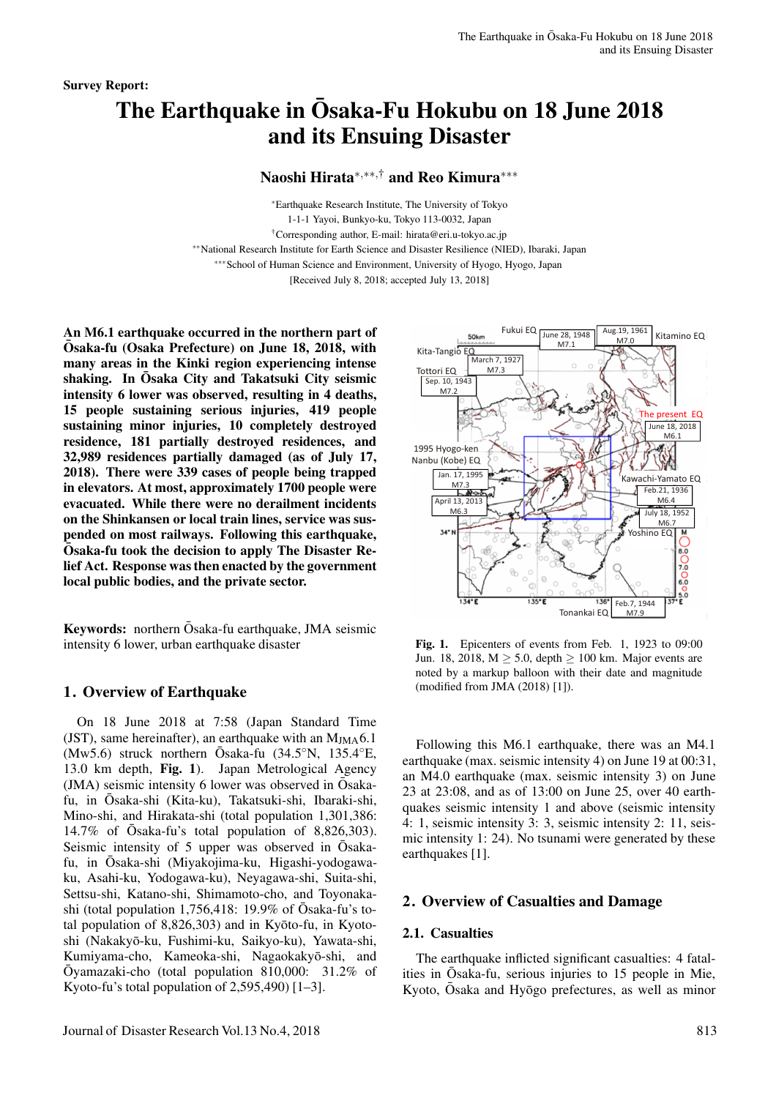# The Earthquake in Osaka-Fu Hokubu on 18 June 2018 and its Ensuing Disaster

Naoshi Hirata∗*,*∗∗*,*† and Reo Kimura∗∗∗

∗Earthquake Research Institute, The University of Tokyo 1-1-1 Yayoi, Bunkyo-ku, Tokyo 113-0032, Japan †Corresponding author, E-mail: hirata@eri.u-tokyo.ac.jp ∗∗National Research Institute for Earth Science and Disaster Resilience (NIED), Ibaraki, Japan ∗∗∗School of Human Science and Environment, University of Hyogo, Hyogo, Japan [Received July 8, 2018; accepted July 13, 2018]

An M6.1 earthquake occurred in the northern part of Osaka-fu (Osaka Prefecture) on June 18, 2018, with ¯ many areas in the Kinki region experiencing intense shaking. In Ōsaka City and Takatsuki City seismic intensity 6 lower was observed, resulting in 4 deaths, 15 people sustaining serious injuries, 419 people sustaining minor injuries, 10 completely destroyed residence, 181 partially destroyed residences, and 32,989 residences partially damaged (as of July 17, 2018). There were 339 cases of people being trapped in elevators. At most, approximately 1700 people were evacuated. While there were no derailment incidents on the Shinkansen or local train lines, service was suspended on most railways. Following this earthquake, Osaka-fu took the decision to apply The Disaster Relief Act. Response was then enacted by the government local public bodies, and the private sector.

Keywords: northern  $\bar{O}$ saka-fu earthquake, JMA seismic intensity 6 lower, urban earthquake disaster

## 1. Overview of Earthquake

On 18 June 2018 at 7:58 (Japan Standard Time (JST), same hereinafter), an earthquake with an  $M_{\text{IMA}}$ 6.1 (Mw5.6) struck northern  $\bar{O}$ saka-fu (34.5°N, 135.4°E, 13.0 km depth, Fig. 1). Japan Metrological Agency (JMA) seismic intensity 6 lower was observed in Ōsakafu, in Osaka-shi (Kita-ku), Takatsuki-shi, Ibaraki-shi, Mino-shi, and Hirakata-shi (total population 1,301,386: 14.7% of  $\bar{\text{Osaka-fu's}}$  total population of 8,826,303). Seismic intensity of 5 upper was observed in Osakafu, in Osaka-shi (Miyakojima-ku, Higashi-yodogawa- ¯ ku, Asahi-ku, Yodogawa-ku), Neyagawa-shi, Suita-shi, Settsu-shi, Katano-shi, Shimamoto-cho, and Toyonakashi (total population 1,756,418: 19.9% of  $\bar{O}$ saka-fu's total population of  $8,826,303$  and in Kyoto-fu, in Kyotoshi (Nakakyō-ku, Fushimi-ku, Saikyo-ku), Yawata-shi, Kumiyama-cho, Kameoka-shi, Nagaokakyō-shi, and  $\overline{\text{O}}$ yamazaki-cho (total population 810,000: 31.2% of Kyoto-fu's total population of  $2,595,490$  [1–3].



Fig. 1. Epicenters of events from Feb. 1, 1923 to 09:00 Jun. 18, 2018,  $M > 5.0$ , depth  $> 100$  km. Major events are noted by a markup balloon with their date and magnitude (modified from JMA (2018) [1]).

Following this M6.1 earthquake, there was an M4.1 earthquake (max. seismic intensity 4) on June 19 at 00:31, an M4.0 earthquake (max. seismic intensity 3) on June 23 at 23:08, and as of 13:00 on June 25, over 40 earthquakes seismic intensity 1 and above (seismic intensity 4: 1, seismic intensity 3: 3, seismic intensity 2: 11, seismic intensity 1: 24). No tsunami were generated by these earthquakes [1].

## 2. Overview of Casualties and Damage

## 2.1. Casualties

The earthquake inflicted significant casualties: 4 fatalities in  $\overline{O}$ saka-fu, serious injuries to 15 people in Mie, Kyoto, Osaka and Hyōgo prefectures, as well as minor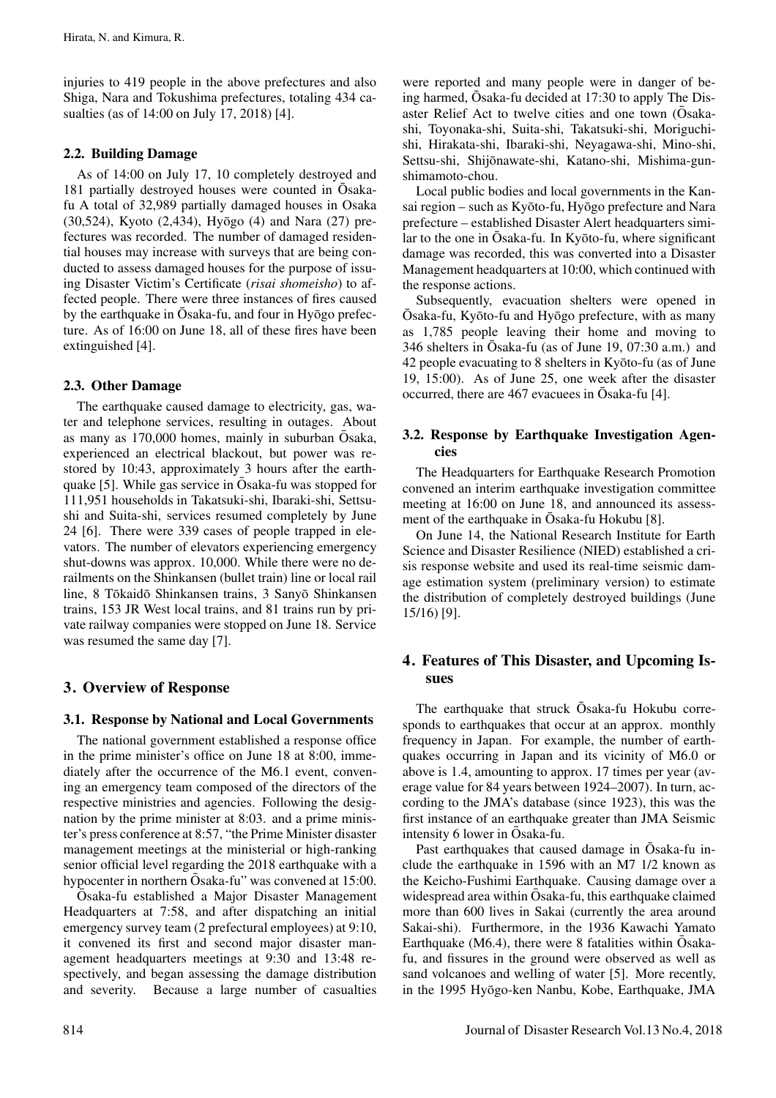injuries to 419 people in the above prefectures and also Shiga, Nara and Tokushima prefectures, totaling 434 casualties (as of 14:00 on July 17, 2018) [4].

## 2.2. Building Damage

As of 14:00 on July 17, 10 completely destroyed and 181 partially destroyed houses were counted in Osakafu A total of 32,989 partially damaged houses in Osaka  $(30,524)$ , Kyoto  $(2,434)$ , Hyōgo  $(4)$  and Nara  $(27)$  prefectures was recorded. The number of damaged residential houses may increase with surveys that are being conducted to assess damaged houses for the purpose of issuing Disaster Victim's Certificate (*risai shomeisho*) to affected people. There were three instances of fires caused by the earthquake in  $\bar{O}$ saka-fu, and four in Hy  $\bar{O}$  ogo prefecture. As of 16:00 on June 18, all of these fires have been extinguished [4].

## 2.3. Other Damage

The earthquake caused damage to electricity, gas, water and telephone services, resulting in outages. About as many as  $170,000$  homes, mainly in suburban  $\overline{O}$ saka, experienced an electrical blackout, but power was restored by 10:43, approximately 3 hours after the earthquake [5]. While gas service in  $\overline{O}$ saka-fu was stopped for 111,951 households in Takatsuki-shi, Ibaraki-shi, Settsushi and Suita-shi, services resumed completely by June 24 [6]. There were 339 cases of people trapped in elevators. The number of elevators experiencing emergency shut-downs was approx. 10,000. While there were no derailments on the Shinkansen (bullet train) line or local rail line, 8 Tōkaidō Shinkansen trains, 3 Sanyō Shinkansen trains, 153 JR West local trains, and 81 trains run by private railway companies were stopped on June 18. Service was resumed the same day [7].

## 3. Overview of Response

## 3.1. Response by National and Local Governments

The national government established a response office in the prime minister's office on June 18 at 8:00, immediately after the occurrence of the M6.1 event, convening an emergency team composed of the directors of the respective ministries and agencies. Following the designation by the prime minister at 8:03. and a prime minister's press conference at 8:57, "the Prime Minister disaster management meetings at the ministerial or high-ranking senior official level regarding the 2018 earthquake with a hypocenter in northern  $\bar{O}$ saka-fu" was convened at 15:00.

 $\overline{O}$ saka-fu established a Major Disaster Management Headquarters at 7:58, and after dispatching an initial emergency survey team (2 prefectural employees) at 9:10, it convened its first and second major disaster management headquarters meetings at 9:30 and 13:48 respectively, and began assessing the damage distribution and severity. Because a large number of casualties were reported and many people were in danger of being harmed,  $\overline{O}$ saka-fu decided at 17:30 to apply The Disaster Relief Act to twelve cities and one town (Osakashi, Toyonaka-shi, Suita-shi, Takatsuki-shi, Moriguchishi, Hirakata-shi, Ibaraki-shi, Neyagawa-shi, Mino-shi, Settsu-shi, Shijōnawate-shi, Katano-shi, Mishima-gunshimamoto-chou.

Local public bodies and local governments in the Kansai region – such as Kyōto-fu, Hyōgo prefecture and Nara prefecture – established Disaster Alert headquarters similar to the one in  $\bar{O}$ saka-fu. In Ky $\bar{O}$ to-fu, where significant damage was recorded, this was converted into a Disaster Management headquarters at 10:00, which continued with the response actions.

Subsequently, evacuation shelters were opened in  $\overline{O}$ saka-fu, Kyōto-fu and Hyōgo prefecture, with as many as 1,785 people leaving their home and moving to 346 shelters in  $\overline{O}$ saka-fu (as of June 19, 07:30 a.m.) and 42 people evacuating to 8 shelters in Kyōto-fu (as of June 19, 15:00). As of June 25, one week after the disaster occurred, there are  $467$  evacuees in Osaka-fu [4].

## 3.2. Response by Earthquake Investigation Agencies

The Headquarters for Earthquake Research Promotion convened an interim earthquake investigation committee meeting at 16:00 on June 18, and announced its assessment of the earthquake in  $\bar{O}$ saka-fu Hokubu [8].

On June 14, the National Research Institute for Earth Science and Disaster Resilience (NIED) established a crisis response website and used its real-time seismic damage estimation system (preliminary version) to estimate the distribution of completely destroyed buildings (June 15/16) [9].

# 4. Features of This Disaster, and Upcoming Issues

The earthquake that struck  $\overline{O}$ saka-fu Hokubu corresponds to earthquakes that occur at an approx. monthly frequency in Japan. For example, the number of earthquakes occurring in Japan and its vicinity of M6.0 or above is 1.4, amounting to approx. 17 times per year (average value for 84 years between 1924–2007). In turn, according to the JMA's database (since 1923), this was the first instance of an earthquake greater than JMA Seismic intensity 6 lower in  $\bar{O}$ saka-fu.

Past earthquakes that caused damage in Osaka-fu include the earthquake in 1596 with an M7 1/2 known as the Keicho-Fushimi Earthquake. Causing damage over a widespread area within  $\bar{O}$ saka-fu, this earthquake claimed more than 600 lives in Sakai (currently the area around Sakai-shi). Furthermore, in the 1936 Kawachi Yamato Earthquake (M6.4), there were 8 fatalities within  $\overline{O}$ sakafu, and fissures in the ground were observed as well as sand volcanoes and welling of water [5]. More recently, in the 1995 Hyōgo-ken Nanbu, Kobe, Earthquake, JMA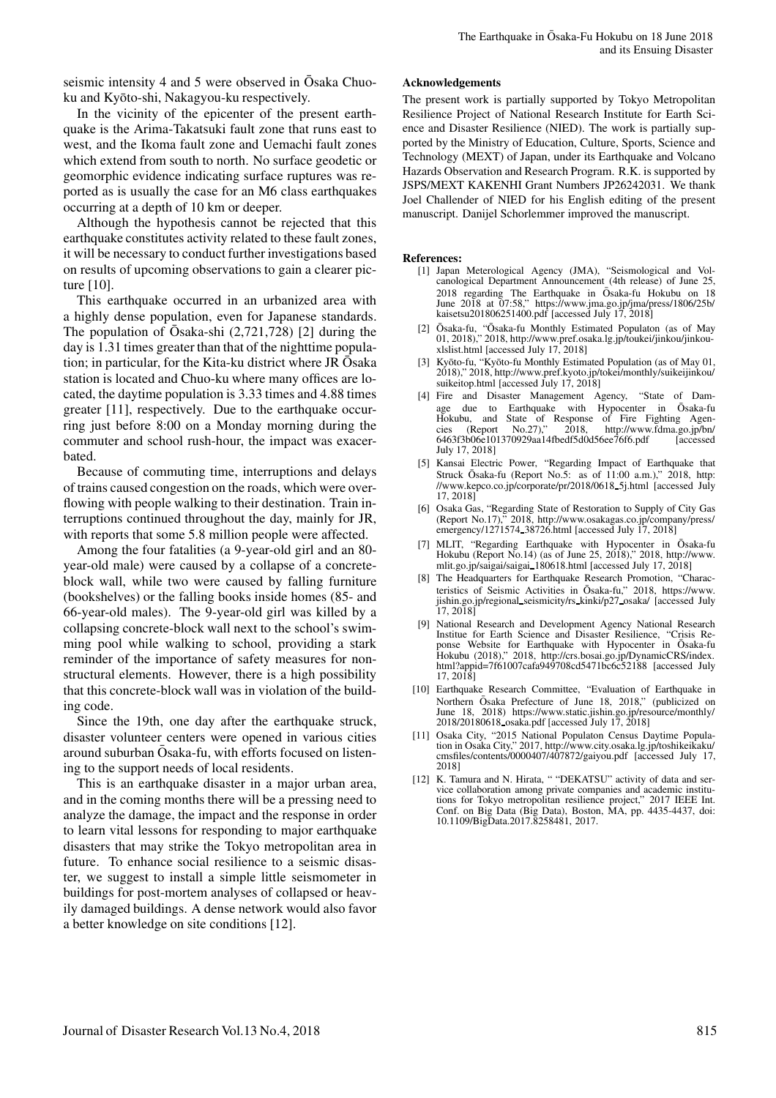seismic intensity 4 and 5 were observed in Osaka Chuoku and Kyōto-shi, Nakagyou-ku respectively.

In the vicinity of the epicenter of the present earthquake is the Arima-Takatsuki fault zone that runs east to west, and the Ikoma fault zone and Uemachi fault zones which extend from south to north. No surface geodetic or geomorphic evidence indicating surface ruptures was reported as is usually the case for an M6 class earthquakes occurring at a depth of 10 km or deeper.

Although the hypothesis cannot be rejected that this earthquake constitutes activity related to these fault zones, it will be necessary to conduct further investigations based on results of upcoming observations to gain a clearer picture [10].

This earthquake occurred in an urbanized area with a highly dense population, even for Japanese standards. The population of Osaka-shi  $(2,721,728)$  [2] during the day is 1.31 times greater than that of the nighttime population; in particular, for the Kita-ku district where JR Osaka station is located and Chuo-ku where many offices are located, the daytime population is 3.33 times and 4.88 times greater [11], respectively. Due to the earthquake occurring just before 8:00 on a Monday morning during the commuter and school rush-hour, the impact was exacerbated.

Because of commuting time, interruptions and delays of trains caused congestion on the roads, which were overflowing with people walking to their destination. Train interruptions continued throughout the day, mainly for JR, with reports that some 5.8 million people were affected.

Among the four fatalities (a 9-year-old girl and an 80 year-old male) were caused by a collapse of a concreteblock wall, while two were caused by falling furniture (bookshelves) or the falling books inside homes (85- and 66-year-old males). The 9-year-old girl was killed by a collapsing concrete-block wall next to the school's swimming pool while walking to school, providing a stark reminder of the importance of safety measures for nonstructural elements. However, there is a high possibility that this concrete-block wall was in violation of the building code.

Since the 19th, one day after the earthquake struck, disaster volunteer centers were opened in various cities around suburban Osaka-fu, with efforts focused on listen- ¯ ing to the support needs of local residents.

This is an earthquake disaster in a major urban area, and in the coming months there will be a pressing need to analyze the damage, the impact and the response in order to learn vital lessons for responding to major earthquake disasters that may strike the Tokyo metropolitan area in future. To enhance social resilience to a seismic disaster, we suggest to install a simple little seismometer in buildings for post-mortem analyses of collapsed or heavily damaged buildings. A dense network would also favor a better knowledge on site conditions [12].

#### Acknowledgements

The present work is partially supported by Tokyo Metropolitan Resilience Project of National Research Institute for Earth Science and Disaster Resilience (NIED). The work is partially supported by the Ministry of Education, Culture, Sports, Science and Technology (MEXT) of Japan, under its Earthquake and Volcano Hazards Observation and Research Program. R.K. is supported by JSPS/MEXT KAKENHI Grant Numbers JP26242031. We thank Joel Challender of NIED for his English editing of the present manuscript. Danijel Schorlemmer improved the manuscript.

#### References:

- [1] Japan Meterological Agency (JMA), "Seismological and Volcanological Department Announcement (4th release) of June 25, 2018 regarding The Earthquake in Ōsaka-fu Hokubu on 18 June 2018 at 07:58," https://www.jma.go.jp/jma/press/1806/25b/ kaisetsu201806251400.pdf [accessed July 17, 2018]
- [2] Ōsaka-fu, "Ōsaka-fu Monthly Estimated Populaton (as of May 01, 2018)," 2018, http://www.pref.osaka.lg.jp/toukei/jinkou/jinkouxlslist.html [accessed July 17, 2018]
- [3] Kyōto-fu, "Kyōto-fu Monthly Estimated Population (as of May 01, 2018)," 2018, http://www.pref.kyoto.jp/tokei/monthly/suikeijinkou/ suikeitop.html [accessed July 17, 2018]
- [4] Fire and Disaster Management Agency, "State of Damage due to Earthquake with Hypocenter in Ōsaka-fu Hokubu, and State of Response of Fire Fighting Agencies (Report No.27)," 2018, http://www.fdma.go.jp/bn/ cies (Report No.27)," 2018, http://www.fdma.go.jp/bn/<br>6463f3b06e101370929aa14fbedf5d0d56ee76f6.pdf [accessed July 17, 2018]
- [5] Kansai Electric Power, "Regarding Impact of Earthquake that Struck Ōsaka-fu (Report No.5: as of 11:00 a.m.)," 2018, http: //www.kepco.co.jp/corporate/pr/2018/0618 5j.html [accessed July 17, 2018]
- [6] Osaka Gas, "Regarding State of Restoration to Supply of City Gas (Report No.17)," 2018, http://www.osakagas.co.jp/company/press/ emergency/1271574 38726.html [accessed July 17, 2018]
- [7] MLIT, "Regarding Earthquake with Hypocenter in Ōsaka-fu Hokubu (Report No.14) (as of June 25, 2018)," 2018, http://www. mlit.go.jp/saigai/saigai 180618.html [accessed July 17, 2018]
- [8] The Headquarters for Earthquake Research Promotion, "Characteristics of Seismic Activities in Ōsaka-fu," 2018, https://www. jishin.go.jp/regional\_seismicity/rs\_kinki/p27\_osaka/ [accessed July 17, 2018]
- [9] National Research and Development Agency National Research Institue for Earth Science and Disaster Resilience, "Crisis Re-<br>ponse Website for Earthquake with Hypocenter in Ōsaka-fu Hokubu (2018)," 2018, http://crs.bosai.go.jp/DynamicCRS/index. html?appid=7f61007cafa949708cd5471bc6c52188 [accessed July 17, 2018]
- [10] Earthquake Research Committee, "Evaluation of Earthquake in Northern Ōsaka Prefecture of June 18, 2018," (publicized on June 18, 2018) https://www.static.jishin.go.jp/resource/monthly/ 2018/20180618 osaka.pdf [accessed July 17, 2018]
- [11] Osaka City, "2015 National Populaton Census Daytime Popula-tion in Osaka City," 2017, http://www.city.osaka.lg.jp/toshikeikaku/ cmsfiles/contents/0000407/407872/gaiyou.pdf [accessed July 17, 2018]
- [12] K. Tamura and N. Hirata, " "DEKATSU" activity of data and service collaboration among private companies and academic institutions for Tokyo metropolitan resilience project," 2017 IEEE Int. Conf. on Big Data (Big Data), Boston, MA, pp. 4435-4437, doi: 10.1109/BigData.2017.8258481, 2017.